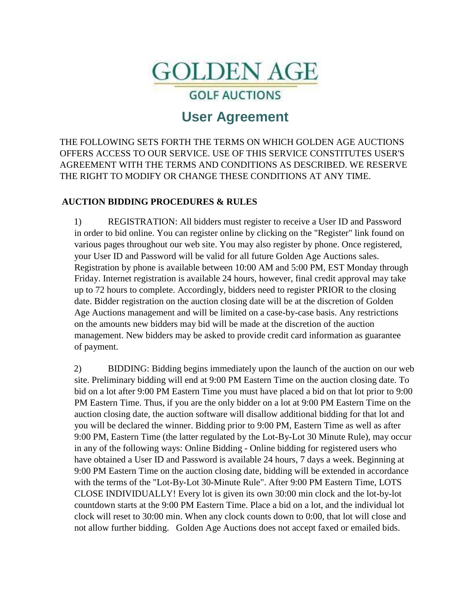

**GOLF AUCTIONS** 

# **User Agreement**

THE FOLLOWING SETS FORTH THE TERMS ON WHICH GOLDEN AGE AUCTIONS OFFERS ACCESS TO OUR SERVICE. USE OF THIS SERVICE CONSTITUTES USER'S AGREEMENT WITH THE TERMS AND CONDITIONS AS DESCRIBED. WE RESERVE THE RIGHT TO MODIFY OR CHANGE THESE CONDITIONS AT ANY TIME.

# **AUCTION BIDDING PROCEDURES & RULES**

1) REGISTRATION: All bidders must register to receive a User ID and Password in order to bid online. You can register online by clicking on the "Register" link found on various pages throughout our web site. You may also register by phone. Once registered, your User ID and Password will be valid for all future Golden Age Auctions sales. Registration by phone is available between 10:00 AM and 5:00 PM, EST Monday through Friday. Internet registration is available 24 hours, however, final credit approval may take up to 72 hours to complete. Accordingly, bidders need to register PRIOR to the closing date. Bidder registration on the auction closing date will be at the discretion of Golden Age Auctions management and will be limited on a case-by-case basis. Any restrictions on the amounts new bidders may bid will be made at the discretion of the auction management. New bidders may be asked to provide credit card information as guarantee of payment.

2) BIDDING: Bidding begins immediately upon the launch of the auction on our web site. Preliminary bidding will end at 9:00 PM Eastern Time on the auction closing date. To bid on a lot after 9:00 PM Eastern Time you must have placed a bid on that lot prior to 9:00 PM Eastern Time. Thus, if you are the only bidder on a lot at 9:00 PM Eastern Time on the auction closing date, the auction software will disallow additional bidding for that lot and you will be declared the winner. Bidding prior to 9:00 PM, Eastern Time as well as after 9:00 PM, Eastern Time (the latter regulated by the Lot-By-Lot 30 Minute Rule), may occur in any of the following ways: Online Bidding - Online bidding for registered users who have obtained a User ID and Password is available 24 hours, 7 days a week. Beginning at 9:00 PM Eastern Time on the auction closing date, bidding will be extended in accordance with the terms of the "Lot-By-Lot 30-Minute Rule". After 9:00 PM Eastern Time, LOTS CLOSE INDIVIDUALLY! Every lot is given its own 30:00 min clock and the lot-by-lot countdown starts at the 9:00 PM Eastern Time. Place a bid on a lot, and the individual lot clock will reset to 30:00 min. When any clock counts down to 0:00, that lot will close and not allow further bidding. Golden Age Auctions does not accept faxed or emailed bids.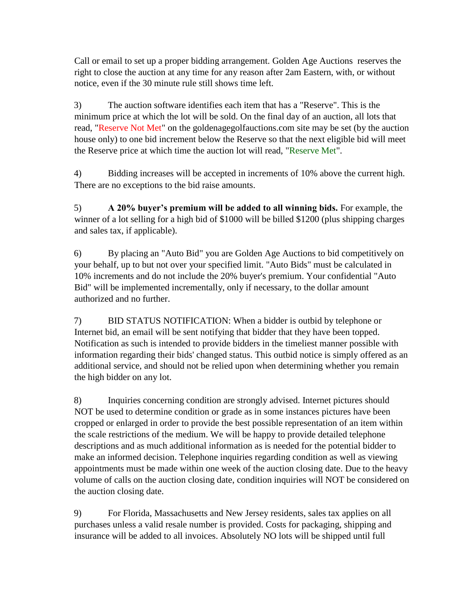Call or email to set up a proper bidding arrangement. Golden Age Auctions reserves the right to close the auction at any time for any reason after 2am Eastern, with, or without notice, even if the 30 minute rule still shows time left.

3) The auction software identifies each item that has a "Reserve". This is the minimum price at which the lot will be sold. On the final day of an auction, all lots that read, "Reserve Not Met" on the goldenagegolfauctions.com site may be set (by the auction house only) to one bid increment below the Reserve so that the next eligible bid will meet the Reserve price at which time the auction lot will read, "Reserve Met".

4) Bidding increases will be accepted in increments of 10% above the current high. There are no exceptions to the bid raise amounts.

5) **A 20% buyer's premium will be added to all winning bids.** For example, the winner of a lot selling for a high bid of \$1000 will be billed \$1200 (plus shipping charges and sales tax, if applicable).

6) By placing an "Auto Bid" you are Golden Age Auctions to bid competitively on your behalf, up to but not over your specified limit. "Auto Bids" must be calculated in 10% increments and do not include the 20% buyer's premium. Your confidential "Auto Bid" will be implemented incrementally, only if necessary, to the dollar amount authorized and no further.

7) BID STATUS NOTIFICATION: When a bidder is outbid by telephone or Internet bid, an email will be sent notifying that bidder that they have been topped. Notification as such is intended to provide bidders in the timeliest manner possible with information regarding their bids' changed status. This outbid notice is simply offered as an additional service, and should not be relied upon when determining whether you remain the high bidder on any lot.

8) Inquiries concerning condition are strongly advised. Internet pictures should NOT be used to determine condition or grade as in some instances pictures have been cropped or enlarged in order to provide the best possible representation of an item within the scale restrictions of the medium. We will be happy to provide detailed telephone descriptions and as much additional information as is needed for the potential bidder to make an informed decision. Telephone inquiries regarding condition as well as viewing appointments must be made within one week of the auction closing date. Due to the heavy volume of calls on the auction closing date, condition inquiries will NOT be considered on the auction closing date.

9) For Florida, Massachusetts and New Jersey residents, sales tax applies on all purchases unless a valid resale number is provided. Costs for packaging, shipping and insurance will be added to all invoices. Absolutely NO lots will be shipped until full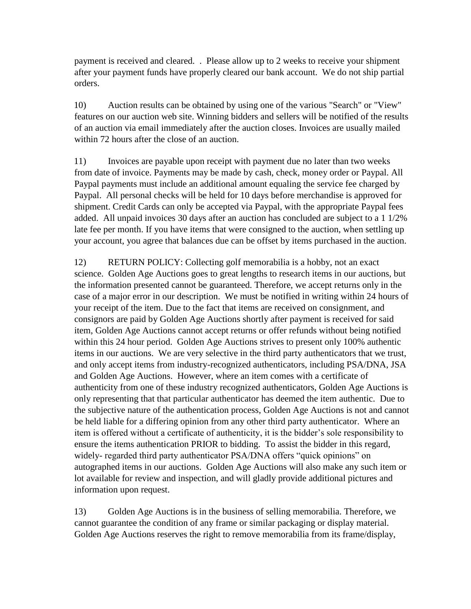payment is received and cleared. . Please allow up to 2 weeks to receive your shipment after your payment funds have properly cleared our bank account. We do not ship partial orders.

10) Auction results can be obtained by using one of the various "Search" or "View" features on our auction web site. Winning bidders and sellers will be notified of the results of an auction via email immediately after the auction closes. Invoices are usually mailed within 72 hours after the close of an auction.

11) Invoices are payable upon receipt with payment due no later than two weeks from date of invoice. Payments may be made by cash, check, money order or Paypal. All Paypal payments must include an additional amount equaling the service fee charged by Paypal. All personal checks will be held for 10 days before merchandise is approved for shipment. Credit Cards can only be accepted via Paypal, with the appropriate Paypal fees added. All unpaid invoices 30 days after an auction has concluded are subject to a 1 1/2% late fee per month. If you have items that were consigned to the auction, when settling up your account, you agree that balances due can be offset by items purchased in the auction.

12) RETURN POLICY: Collecting golf memorabilia is a hobby, not an exact science. Golden Age Auctions goes to great lengths to research items in our auctions, but the information presented cannot be guaranteed. Therefore, we accept returns only in the case of a major error in our description. We must be notified in writing within 24 hours of your receipt of the item. Due to the fact that items are received on consignment, and consignors are paid by Golden Age Auctions shortly after payment is received for said item, Golden Age Auctions cannot accept returns or offer refunds without being notified within this 24 hour period. Golden Age Auctions strives to present only 100% authentic items in our auctions. We are very selective in the third party authenticators that we trust, and only accept items from industry-recognized authenticators, including PSA/DNA, JSA and Golden Age Auctions. However, where an item comes with a certificate of authenticity from one of these industry recognized authenticators, Golden Age Auctions is only representing that that particular authenticator has deemed the item authentic. Due to the subjective nature of the authentication process, Golden Age Auctions is not and cannot be held liable for a differing opinion from any other third party authenticator. Where an item is offered without a certificate of authenticity, it is the bidder's sole responsibility to ensure the items authentication PRIOR to bidding. To assist the bidder in this regard, widely- regarded third party authenticator PSA/DNA offers "quick opinions" on autographed items in our auctions. Golden Age Auctions will also make any such item or lot available for review and inspection, and will gladly provide additional pictures and information upon request.

13) Golden Age Auctions is in the business of selling memorabilia. Therefore, we cannot guarantee the condition of any frame or similar packaging or display material. Golden Age Auctions reserves the right to remove memorabilia from its frame/display,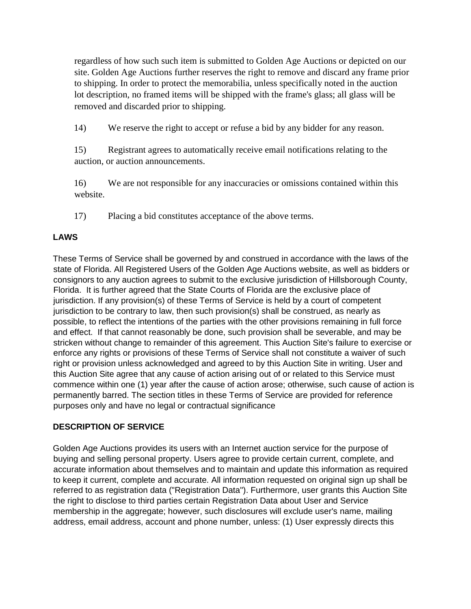regardless of how such such item is submitted to Golden Age Auctions or depicted on our site. Golden Age Auctions further reserves the right to remove and discard any frame prior to shipping. In order to protect the memorabilia, unless specifically noted in the auction lot description, no framed items will be shipped with the frame's glass; all glass will be removed and discarded prior to shipping.

14) We reserve the right to accept or refuse a bid by any bidder for any reason.

15) Registrant agrees to automatically receive email notifications relating to the auction, or auction announcements.

16) We are not responsible for any inaccuracies or omissions contained within this website.

17) Placing a bid constitutes acceptance of the above terms.

# **LAWS**

These Terms of Service shall be governed by and construed in accordance with the laws of the state of Florida. All Registered Users of the Golden Age Auctions website, as well as bidders or consignors to any auction agrees to submit to the exclusive jurisdiction of Hillsborough County, Florida. It is further agreed that the State Courts of Florida are the exclusive place of jurisdiction. If any provision(s) of these Terms of Service is held by a court of competent jurisdiction to be contrary to law, then such provision(s) shall be construed, as nearly as possible, to reflect the intentions of the parties with the other provisions remaining in full force and effect. If that cannot reasonably be done, such provision shall be severable, and may be stricken without change to remainder of this agreement. This Auction Site's failure to exercise or enforce any rights or provisions of these Terms of Service shall not constitute a waiver of such right or provision unless acknowledged and agreed to by this Auction Site in writing. User and this Auction Site agree that any cause of action arising out of or related to this Service must commence within one (1) year after the cause of action arose; otherwise, such cause of action is permanently barred. The section titles in these Terms of Service are provided for reference purposes only and have no legal or contractual significance

# **DESCRIPTION OF SERVICE**

Golden Age Auctions provides its users with an Internet auction service for the purpose of buying and selling personal property. Users agree to provide certain current, complete, and accurate information about themselves and to maintain and update this information as required to keep it current, complete and accurate. All information requested on original sign up shall be referred to as registration data ("Registration Data"). Furthermore, user grants this Auction Site the right to disclose to third parties certain Registration Data about User and Service membership in the aggregate; however, such disclosures will exclude user's name, mailing address, email address, account and phone number, unless: (1) User expressly directs this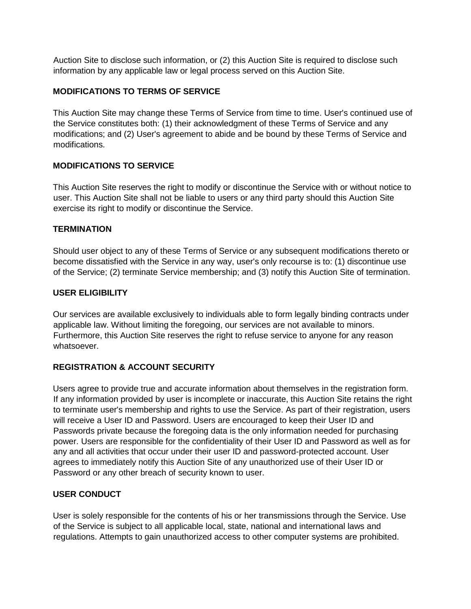Auction Site to disclose such information, or (2) this Auction Site is required to disclose such information by any applicable law or legal process served on this Auction Site.

# **MODIFICATIONS TO TERMS OF SERVICE**

This Auction Site may change these Terms of Service from time to time. User's continued use of the Service constitutes both: (1) their acknowledgment of these Terms of Service and any modifications; and (2) User's agreement to abide and be bound by these Terms of Service and modifications.

# **MODIFICATIONS TO SERVICE**

This Auction Site reserves the right to modify or discontinue the Service with or without notice to user. This Auction Site shall not be liable to users or any third party should this Auction Site exercise its right to modify or discontinue the Service.

# **TERMINATION**

Should user object to any of these Terms of Service or any subsequent modifications thereto or become dissatisfied with the Service in any way, user's only recourse is to: (1) discontinue use of the Service; (2) terminate Service membership; and (3) notify this Auction Site of termination.

# **USER ELIGIBILITY**

Our services are available exclusively to individuals able to form legally binding contracts under applicable law. Without limiting the foregoing, our services are not available to minors. Furthermore, this Auction Site reserves the right to refuse service to anyone for any reason whatsoever.

# **REGISTRATION & ACCOUNT SECURITY**

Users agree to provide true and accurate information about themselves in the registration form. If any information provided by user is incomplete or inaccurate, this Auction Site retains the right to terminate user's membership and rights to use the Service. As part of their registration, users will receive a User ID and Password. Users are encouraged to keep their User ID and Passwords private because the foregoing data is the only information needed for purchasing power. Users are responsible for the confidentiality of their User ID and Password as well as for any and all activities that occur under their user ID and password-protected account. User agrees to immediately notify this Auction Site of any unauthorized use of their User ID or Password or any other breach of security known to user.

# **USER CONDUCT**

User is solely responsible for the contents of his or her transmissions through the Service. Use of the Service is subject to all applicable local, state, national and international laws and regulations. Attempts to gain unauthorized access to other computer systems are prohibited.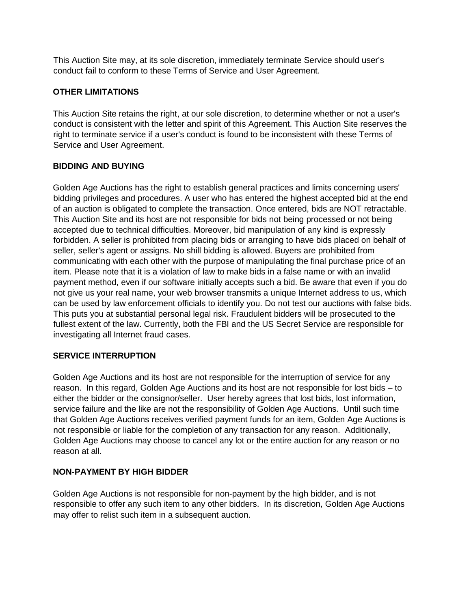This Auction Site may, at its sole discretion, immediately terminate Service should user's conduct fail to conform to these Terms of Service and User Agreement.

# **OTHER LIMITATIONS**

This Auction Site retains the right, at our sole discretion, to determine whether or not a user's conduct is consistent with the letter and spirit of this Agreement. This Auction Site reserves the right to terminate service if a user's conduct is found to be inconsistent with these Terms of Service and User Agreement.

# **BIDDING AND BUYING**

Golden Age Auctions has the right to establish general practices and limits concerning users' bidding privileges and procedures. A user who has entered the highest accepted bid at the end of an auction is obligated to complete the transaction. Once entered, bids are NOT retractable. This Auction Site and its host are not responsible for bids not being processed or not being accepted due to technical difficulties. Moreover, bid manipulation of any kind is expressly forbidden. A seller is prohibited from placing bids or arranging to have bids placed on behalf of seller, seller's agent or assigns. No shill bidding is allowed. Buyers are prohibited from communicating with each other with the purpose of manipulating the final purchase price of an item. Please note that it is a violation of law to make bids in a false name or with an invalid payment method, even if our software initially accepts such a bid. Be aware that even if you do not give us your real name, your web browser transmits a unique Internet address to us, which can be used by law enforcement officials to identify you. Do not test our auctions with false bids. This puts you at substantial personal legal risk. Fraudulent bidders will be prosecuted to the fullest extent of the law. Currently, both the FBI and the US Secret Service are responsible for investigating all Internet fraud cases.

# **SERVICE INTERRUPTION**

Golden Age Auctions and its host are not responsible for the interruption of service for any reason. In this regard, Golden Age Auctions and its host are not responsible for lost bids – to either the bidder or the consignor/seller. User hereby agrees that lost bids, lost information, service failure and the like are not the responsibility of Golden Age Auctions. Until such time that Golden Age Auctions receives verified payment funds for an item, Golden Age Auctions is not responsible or liable for the completion of any transaction for any reason. Additionally, Golden Age Auctions may choose to cancel any lot or the entire auction for any reason or no reason at all.

# **NON-PAYMENT BY HIGH BIDDER**

Golden Age Auctions is not responsible for non-payment by the high bidder, and is not responsible to offer any such item to any other bidders. In its discretion, Golden Age Auctions may offer to relist such item in a subsequent auction.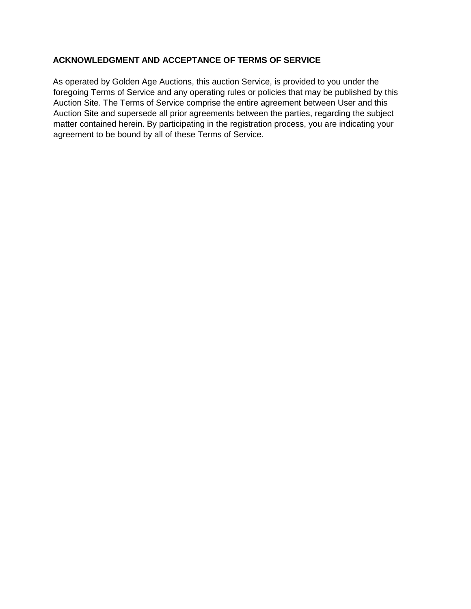# **ACKNOWLEDGMENT AND ACCEPTANCE OF TERMS OF SERVICE**

As operated by Golden Age Auctions, this auction Service, is provided to you under the foregoing Terms of Service and any operating rules or policies that may be published by this Auction Site. The Terms of Service comprise the entire agreement between User and this Auction Site and supersede all prior agreements between the parties, regarding the subject matter contained herein. By participating in the registration process, you are indicating your agreement to be bound by all of these Terms of Service.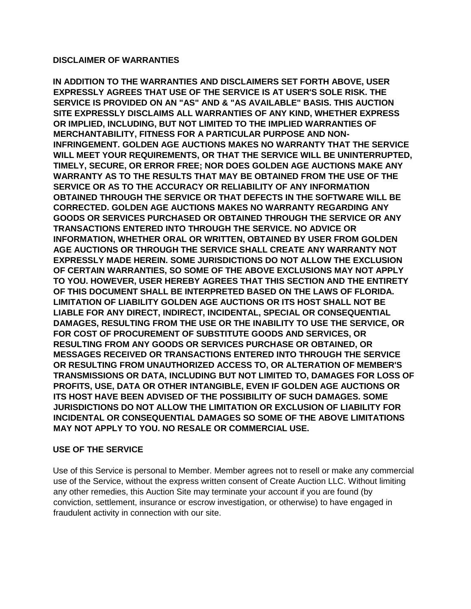#### **DISCLAIMER OF WARRANTIES**

**IN ADDITION TO THE WARRANTIES AND DISCLAIMERS SET FORTH ABOVE, USER EXPRESSLY AGREES THAT USE OF THE SERVICE IS AT USER'S SOLE RISK. THE SERVICE IS PROVIDED ON AN "AS" AND & "AS AVAILABLE" BASIS. THIS AUCTION SITE EXPRESSLY DISCLAIMS ALL WARRANTIES OF ANY KIND, WHETHER EXPRESS OR IMPLIED, INCLUDING, BUT NOT LIMITED TO THE IMPLIED WARRANTIES OF MERCHANTABILITY, FITNESS FOR A PARTICULAR PURPOSE AND NON-INFRINGEMENT. GOLDEN AGE AUCTIONS MAKES NO WARRANTY THAT THE SERVICE WILL MEET YOUR REQUIREMENTS, OR THAT THE SERVICE WILL BE UNINTERRUPTED, TIMELY, SECURE, OR ERROR FREE; NOR DOES GOLDEN AGE AUCTIONS MAKE ANY WARRANTY AS TO THE RESULTS THAT MAY BE OBTAINED FROM THE USE OF THE SERVICE OR AS TO THE ACCURACY OR RELIABILITY OF ANY INFORMATION OBTAINED THROUGH THE SERVICE OR THAT DEFECTS IN THE SOFTWARE WILL BE CORRECTED. GOLDEN AGE AUCTIONS MAKES NO WARRANTY REGARDING ANY GOODS OR SERVICES PURCHASED OR OBTAINED THROUGH THE SERVICE OR ANY TRANSACTIONS ENTERED INTO THROUGH THE SERVICE. NO ADVICE OR INFORMATION, WHETHER ORAL OR WRITTEN, OBTAINED BY USER FROM GOLDEN AGE AUCTIONS OR THROUGH THE SERVICE SHALL CREATE ANY WARRANTY NOT EXPRESSLY MADE HEREIN. SOME JURISDICTIONS DO NOT ALLOW THE EXCLUSION OF CERTAIN WARRANTIES, SO SOME OF THE ABOVE EXCLUSIONS MAY NOT APPLY TO YOU. HOWEVER, USER HEREBY AGREES THAT THIS SECTION AND THE ENTIRETY OF THIS DOCUMENT SHALL BE INTERPRETED BASED ON THE LAWS OF FLORIDA. LIMITATION OF LIABILITY GOLDEN AGE AUCTIONS OR ITS HOST SHALL NOT BE LIABLE FOR ANY DIRECT, INDIRECT, INCIDENTAL, SPECIAL OR CONSEQUENTIAL DAMAGES, RESULTING FROM THE USE OR THE INABILITY TO USE THE SERVICE, OR FOR COST OF PROCUREMENT OF SUBSTITUTE GOODS AND SERVICES, OR RESULTING FROM ANY GOODS OR SERVICES PURCHASE OR OBTAINED, OR MESSAGES RECEIVED OR TRANSACTIONS ENTERED INTO THROUGH THE SERVICE OR RESULTING FROM UNAUTHORIZED ACCESS TO, OR ALTERATION OF MEMBER'S TRANSMISSIONS OR DATA, INCLUDING BUT NOT LIMITED TO, DAMAGES FOR LOSS OF PROFITS, USE, DATA OR OTHER INTANGIBLE, EVEN IF GOLDEN AGE AUCTIONS OR ITS HOST HAVE BEEN ADVISED OF THE POSSIBILITY OF SUCH DAMAGES. SOME JURISDICTIONS DO NOT ALLOW THE LIMITATION OR EXCLUSION OF LIABILITY FOR INCIDENTAL OR CONSEQUENTIAL DAMAGES SO SOME OF THE ABOVE LIMITATIONS MAY NOT APPLY TO YOU. NO RESALE OR COMMERCIAL USE.** 

# **USE OF THE SERVICE**

Use of this Service is personal to Member. Member agrees not to resell or make any commercial use of the Service, without the express written consent of Create Auction LLC. Without limiting any other remedies, this Auction Site may terminate your account if you are found (by conviction, settlement, insurance or escrow investigation, or otherwise) to have engaged in fraudulent activity in connection with our site.